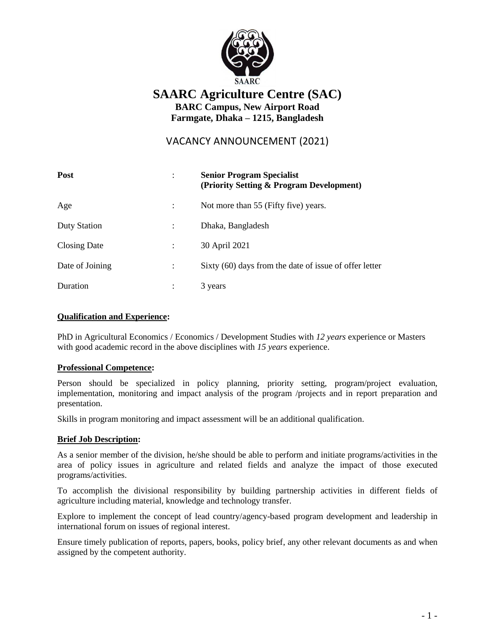

# **SAARC Agriculture Centre (SAC) BARC Campus, New Airport Road**

**Farmgate, Dhaka – 1215, Bangladesh** 

VACANCY ANNOUNCEMENT (2021)

| <b>Post</b>         | <b>Senior Program Specialist</b><br>(Priority Setting & Program Development) |
|---------------------|------------------------------------------------------------------------------|
| Age                 | Not more than 55 (Fifty five) years.                                         |
| <b>Duty Station</b> | Dhaka, Bangladesh                                                            |
| <b>Closing Date</b> | 30 April 2021                                                                |
| Date of Joining     | Sixty (60) days from the date of issue of offer letter                       |
| Duration            | 3 years                                                                      |

### **Qualification and Experience:**

PhD in Agricultural Economics / Economics / Development Studies with *12 years* experience or Masters with good academic record in the above disciplines with *15 years* experience.

#### **Professional Competence:**

Person should be specialized in policy planning, priority setting, program/project evaluation, implementation, monitoring and impact analysis of the program /projects and in report preparation and presentation.

Skills in program monitoring and impact assessment will be an additional qualification.

## **Brief Job Description:**

As a senior member of the division, he/she should be able to perform and initiate programs/activities in the area of policy issues in agriculture and related fields and analyze the impact of those executed programs/activities.

To accomplish the divisional responsibility by building partnership activities in different fields of agriculture including material, knowledge and technology transfer.

Explore to implement the concept of lead country/agency-based program development and leadership in international forum on issues of regional interest.

Ensure timely publication of reports, papers, books, policy brief, any other relevant documents as and when assigned by the competent authority.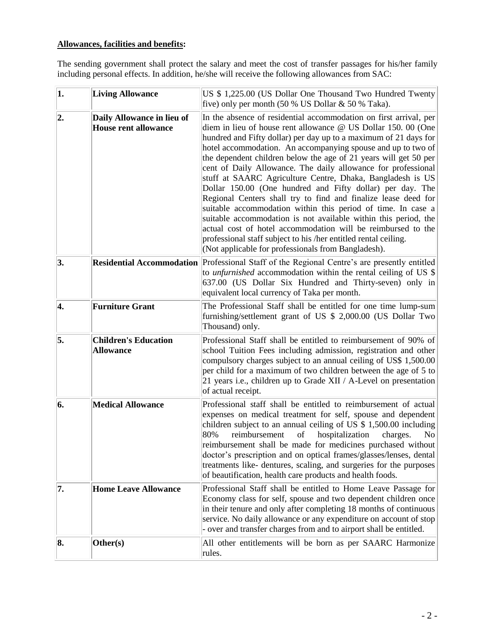## **Allowances, facilities and benefits:**

The sending government shall protect the salary and meet the cost of transfer passages for his/her family including personal effects. In addition, he/she will receive the following allowances from SAC:

| $\vert$ 1. | <b>Living Allowance</b>                                   | US \$1,225.00 (US Dollar One Thousand Two Hundred Twenty<br>five) only per month $(50 % US Dollar & 50 % Taka)$ .                                                                                                                                                                                                                                                                                                                                                                                                                                                                                                                                                                                                                                                                                                                                                                                                                     |
|------------|-----------------------------------------------------------|---------------------------------------------------------------------------------------------------------------------------------------------------------------------------------------------------------------------------------------------------------------------------------------------------------------------------------------------------------------------------------------------------------------------------------------------------------------------------------------------------------------------------------------------------------------------------------------------------------------------------------------------------------------------------------------------------------------------------------------------------------------------------------------------------------------------------------------------------------------------------------------------------------------------------------------|
| 2.         | Daily Allowance in lieu of<br><b>House rent allowance</b> | In the absence of residential accommodation on first arrival, per<br>diem in lieu of house rent allowance @ US Dollar 150. 00 (One<br>hundred and Fifty dollar) per day up to a maximum of 21 days for<br>hotel accommodation. An accompanying spouse and up to two of<br>the dependent children below the age of 21 years will get 50 per<br>cent of Daily Allowance. The daily allowance for professional<br>stuff at SAARC Agriculture Centre, Dhaka, Bangladesh is US<br>Dollar 150.00 (One hundred and Fifty dollar) per day. The<br>Regional Centers shall try to find and finalize lease deed for<br>suitable accommodation within this period of time. In case a<br>suitable accommodation is not available within this period, the<br>actual cost of hotel accommodation will be reimbursed to the<br>professional staff subject to his /her entitled rental ceiling.<br>(Not applicable for professionals from Bangladesh). |
| 3.         |                                                           | Residential Accommodation Professional Staff of the Regional Centre's are presently entitled<br>to <i>unfurnished</i> accommodation within the rental ceiling of US \$<br>637.00 (US Dollar Six Hundred and Thirty-seven) only in<br>equivalent local currency of Taka per month.                                                                                                                                                                                                                                                                                                                                                                                                                                                                                                                                                                                                                                                     |
| 4.         | <b>Furniture Grant</b>                                    | The Professional Staff shall be entitled for one time lump-sum<br>furnishing/settlement grant of US \$ 2,000.00 (US Dollar Two<br>Thousand) only.                                                                                                                                                                                                                                                                                                                                                                                                                                                                                                                                                                                                                                                                                                                                                                                     |
| 5.         | <b>Children's Education</b><br><b>Allowance</b>           | Professional Staff shall be entitled to reimbursement of 90% of<br>school Tuition Fees including admission, registration and other<br>compulsory charges subject to an annual ceiling of US\$ 1,500.00<br>per child for a maximum of two children between the age of 5 to<br>21 years i.e., children up to Grade XII / A-Level on presentation<br>of actual receipt.                                                                                                                                                                                                                                                                                                                                                                                                                                                                                                                                                                  |
| 6.         | <b>Medical Allowance</b>                                  | Professional staff shall be entitled to reimbursement of actual<br>expenses on medical treatment for self, spouse and dependent<br>children subject to an annual ceiling of US \$ 1,500.00 including<br>80%<br>reimbursement<br>hospitalization<br>charges.<br>of<br>N <sub>o</sub><br>reimbursement shall be made for medicines purchased without<br>doctor's prescription and on optical frames/glasses/lenses, dental<br>treatments like- dentures, scaling, and surgeries for the purposes<br>of beautification, health care products and health foods.                                                                                                                                                                                                                                                                                                                                                                           |
| 7.         | <b>Home Leave Allowance</b>                               | Professional Staff shall be entitled to Home Leave Passage for<br>Economy class for self, spouse and two dependent children once<br>in their tenure and only after completing 18 months of continuous<br>service. No daily allowance or any expenditure on account of stop<br>- over and transfer charges from and to airport shall be entitled.                                                                                                                                                                                                                                                                                                                                                                                                                                                                                                                                                                                      |
| 8.         | Other(s)                                                  | All other entitlements will be born as per SAARC Harmonize<br>rules.                                                                                                                                                                                                                                                                                                                                                                                                                                                                                                                                                                                                                                                                                                                                                                                                                                                                  |